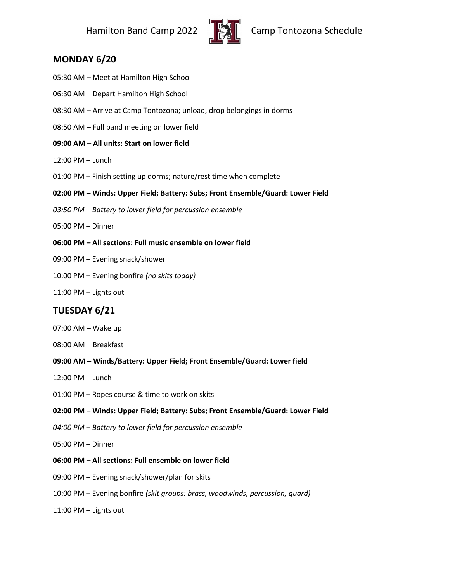

### **MONDAY 6/20**

- 05:30 AM Meet at Hamilton High School
- 06:30 AM Depart Hamilton High School
- 08:30 AM Arrive at Camp Tontozona; unload, drop belongings in dorms
- 08:50 AM Full band meeting on lower field
- **09:00 AM – All units: Start on lower field**
- 12:00 PM Lunch
- 01:00 PM Finish setting up dorms; nature/rest time when complete
- **02:00 PM – Winds: Upper Field; Battery: Subs; Front Ensemble/Guard: Lower Field**
- *03:50 PM – Battery to lower field for percussion ensemble*
- 05:00 PM Dinner
- **06:00 PM – All sections: Full music ensemble on lower field**
- 09:00 PM Evening snack/shower
- 10:00 PM Evening bonfire *(no skits today)*
- 11:00 PM Lights out

# **TUESDAY 6/21**\_\_\_\_\_\_\_\_\_\_\_\_\_\_\_\_\_\_\_\_\_\_\_\_\_\_\_\_\_\_\_\_\_\_\_\_\_\_\_\_\_\_\_\_\_\_\_\_\_\_\_\_\_\_

- 07:00 AM Wake up
- 08:00 AM Breakfast
- **09:00 AM – Winds/Battery: Upper Field; Front Ensemble/Guard: Lower field**
- 12:00 PM Lunch
- 01:00 PM Ropes course & time to work on skits
- **02:00 PM – Winds: Upper Field; Battery: Subs; Front Ensemble/Guard: Lower Field**
- *04:00 PM – Battery to lower field for percussion ensemble*
- 05:00 PM Dinner
- **06:00 PM – All sections: Full ensemble on lower field**
- 09:00 PM Evening snack/shower/plan for skits
- 10:00 PM Evening bonfire *(skit groups: brass, woodwinds, percussion, guard)*
- 11:00 PM Lights out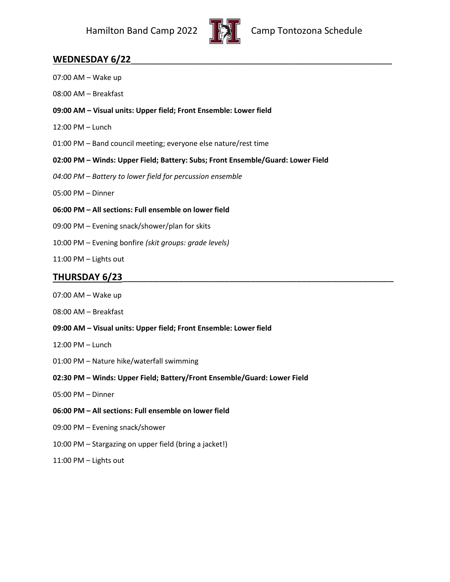

# **WEDNESDAY 6/22**\_\_\_\_\_\_\_\_\_\_\_\_\_\_\_\_\_\_\_\_\_\_\_\_\_\_\_\_\_\_\_\_\_\_\_\_\_\_\_\_\_\_\_\_\_\_\_\_\_\_\_

| 07:00 AM - Wake up                                                              |
|---------------------------------------------------------------------------------|
| 08:00 AM - Breakfast                                                            |
| 09:00 AM - Visual units: Upper field; Front Ensemble: Lower field               |
| 12:00 PM - Lunch                                                                |
| 01:00 PM - Band council meeting; everyone else nature/rest time                 |
| 02:00 PM - Winds: Upper Field; Battery: Subs; Front Ensemble/Guard: Lower Field |
| 04:00 PM - Battery to lower field for percussion ensemble                       |
| 05:00 PM - Dinner                                                               |
| 06:00 PM - All sections: Full ensemble on lower field                           |
| 09:00 PM - Evening snack/shower/plan for skits                                  |
| 10:00 PM - Evening bonfire (skit groups: grade levels)                          |
| 11:00 PM - Lights out                                                           |
| <b>THURSDAY 6/23</b>                                                            |
| 07:00 AM - Wake up                                                              |
| 08:00 AM - Breakfast                                                            |
| 09:00 AM - Visual units: Upper field; Front Ensemble: Lower field               |
| 12:00 PM - Lunch                                                                |
| 01:00 PM - Nature hike/waterfall swimming                                       |
| 02:30 PM - Winds: Upper Field; Battery/Front Ensemble/Guard: Lower Field        |
| 05:00 PM - Dinner                                                               |
| 06:00 PM - All sections: Full ensemble on lower field                           |
|                                                                                 |

- 10:00 PM Stargazing on upper field (bring a jacket!)
- 11:00 PM Lights out